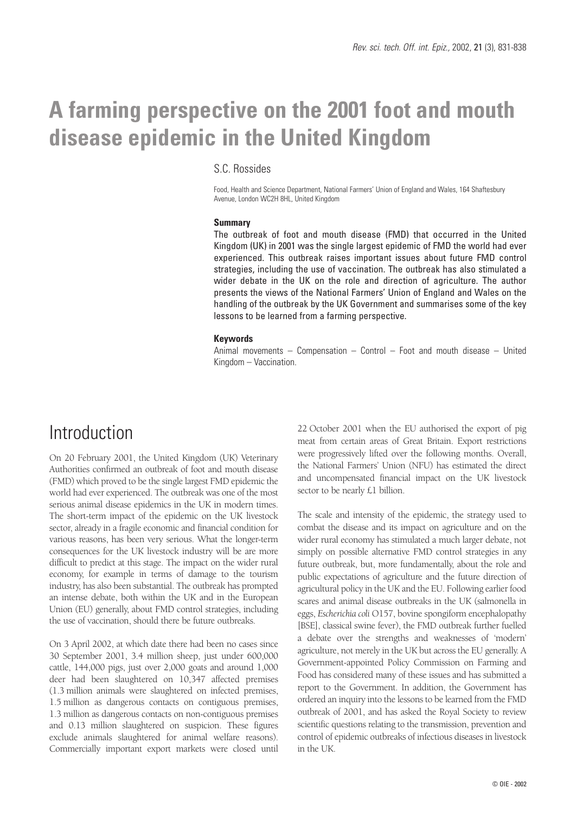# **A farming perspective on the 2001 foot and mouth disease epidemic in the United Kingdom**

### S.C. Rossides

Food, Health and Science Department, National Farmers' Union of England and Wales, 164 Shaftesbury Avenue, London WC2H 8HL, United Kingdom

#### **Summary**

The outbreak of foot and mouth disease (FMD) that occurred in the United Kingdom (UK) in 2001 was the single largest epidemic of FMD the world had ever experienced. This outbreak raises important issues about future FMD control strategies, including the use of vaccination. The outbreak has also stimulated a wider debate in the UK on the role and direction of agriculture. The author presents the views of the National Farmers' Union of England and Wales on the handling of the outbreak by the UK Government and summarises some of the key lessons to be learned from a farming perspective.

#### **Keywords**

Animal movements – Compensation – Control – Foot and mouth disease – United Kingdom – Vaccination.

### Introduction

On 20 February 2001, the United Kingdom (UK) Veterinary Authorities confirmed an outbreak of foot and mouth disease (FMD) which proved to be the single largest FMD epidemic the world had ever experienced. The outbreak was one of the most serious animal disease epidemics in the UK in modern times. The short-term impact of the epidemic on the UK livestock sector, already in a fragile economic and financial condition for various reasons, has been very serious. What the longer-term consequences for the UK livestock industry will be are more difficult to predict at this stage. The impact on the wider rural economy, for example in terms of damage to the tourism industry, has also been substantial. The outbreak has prompted an intense debate, both within the UK and in the European Union (EU) generally, about FMD control strategies, including the use of vaccination, should there be future outbreaks.

On 3 April 2002, at which date there had been no cases since 30 September 2001, 3.4 million sheep, just under 600,000 cattle, 144,000 pigs, just over 2,000 goats and around 1,000 deer had been slaughtered on 10,347 affected premises (1.3 million animals were slaughtered on infected premises, 1.5 million as dangerous contacts on contiguous premises, 1.3 million as dangerous contacts on non-contiguous premises and 0.13 million slaughtered on suspicion. These figures exclude animals slaughtered for animal welfare reasons). Commercially important export markets were closed until 22 October 2001 when the EU authorised the export of pig meat from certain areas of Great Britain. Export restrictions were progressively lifted over the following months. Overall, the National Farmers' Union (NFU) has estimated the direct and uncompensated financial impact on the UK livestock sector to be nearly £1 billion.

The scale and intensity of the epidemic, the strategy used to combat the disease and its impact on agriculture and on the wider rural economy has stimulated a much larger debate, not simply on possible alternative FMD control strategies in any future outbreak, but, more fundamentally, about the role and public expectations of agriculture and the future direction of agricultural policy in the UK and the EU. Following earlier food scares and animal disease outbreaks in the UK (salmonella in eggs, *Escherichia coli* O157, bovine spongiform encephalopathy [BSE], classical swine fever), the FMD outbreak further fuelled a debate over the strengths and weaknesses of 'modern' agriculture, not merely in the UK but across the EU generally. A Government-appointed Policy Commission on Farming and Food has considered many of these issues and has submitted a report to the Government. In addition, the Government has ordered an inquiry into the lessons to be learned from the FMD outbreak of 2001, and has asked the Royal Society to review scientific questions relating to the transmission, prevention and control of epidemic outbreaks of infectious diseases in livestock in the UK.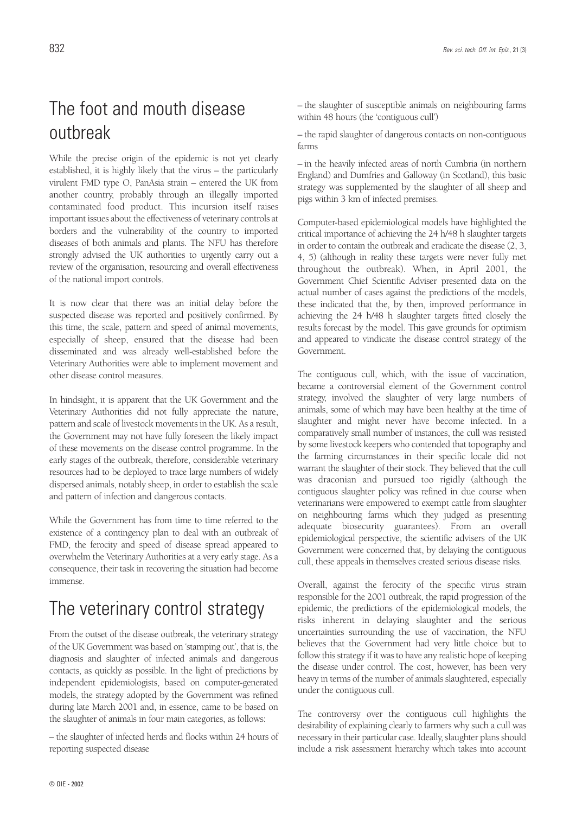# The foot and mouth disease outbreak

While the precise origin of the epidemic is not yet clearly established, it is highly likely that the virus – the particularly virulent FMD type O, PanAsia strain – entered the UK from another country, probably through an illegally imported contaminated food product. This incursion itself raises important issues about the effectiveness of veterinary controls at borders and the vulnerability of the country to imported diseases of both animals and plants. The NFU has therefore strongly advised the UK authorities to urgently carry out a review of the organisation, resourcing and overall effectiveness of the national import controls.

It is now clear that there was an initial delay before the suspected disease was reported and positively confirmed. By this time, the scale, pattern and speed of animal movements, especially of sheep, ensured that the disease had been disseminated and was already well-established before the Veterinary Authorities were able to implement movement and other disease control measures.

In hindsight, it is apparent that the UK Government and the Veterinary Authorities did not fully appreciate the nature, pattern and scale of livestock movements in the UK. As a result, the Government may not have fully foreseen the likely impact of these movements on the disease control programme. In the early stages of the outbreak, therefore, considerable veterinary resources had to be deployed to trace large numbers of widely dispersed animals, notably sheep, in order to establish the scale and pattern of infection and dangerous contacts.

While the Government has from time to time referred to the existence of a contingency plan to deal with an outbreak of FMD, the ferocity and speed of disease spread appeared to overwhelm the Veterinary Authorities at a very early stage. As a consequence, their task in recovering the situation had become immense.

# The veterinary control strategy

From the outset of the disease outbreak, the veterinary strategy of the UK Government was based on 'stamping out', that is, the diagnosis and slaughter of infected animals and dangerous contacts, as quickly as possible. In the light of predictions by independent epidemiologists, based on computer-generated models, the strategy adopted by the Government was refined during late March 2001 and, in essence, came to be based on the slaughter of animals in four main categories, as follows:

– the slaughter of infected herds and flocks within 24 hours of reporting suspected disease

– the slaughter of susceptible animals on neighbouring farms within 48 hours (the 'contiguous cull')

– the rapid slaughter of dangerous contacts on non-contiguous farms

– in the heavily infected areas of north Cumbria (in northern England) and Dumfries and Galloway (in Scotland), this basic strategy was supplemented by the slaughter of all sheep and pigs within 3 km of infected premises.

Computer-based epidemiological models have highlighted the critical importance of achieving the 24 h/48 h slaughter targets in order to contain the outbreak and eradicate the disease (2, 3, 4, 5) (although in reality these targets were never fully met throughout the outbreak). When, in April 2001, the Government Chief Scientific Adviser presented data on the actual number of cases against the predictions of the models, these indicated that the, by then, improved performance in achieving the 24 h/48 h slaughter targets fitted closely the results forecast by the model. This gave grounds for optimism and appeared to vindicate the disease control strategy of the Government.

The contiguous cull, which, with the issue of vaccination, became a controversial element of the Government control strategy, involved the slaughter of very large numbers of animals, some of which may have been healthy at the time of slaughter and might never have become infected. In a comparatively small number of instances, the cull was resisted by some livestock keepers who contended that topography and the farming circumstances in their specific locale did not warrant the slaughter of their stock. They believed that the cull was draconian and pursued too rigidly (although the contiguous slaughter policy was refined in due course when veterinarians were empowered to exempt cattle from slaughter on neighbouring farms which they judged as presenting adequate biosecurity guarantees). From an overall epidemiological perspective, the scientific advisers of the UK Government were concerned that, by delaying the contiguous cull, these appeals in themselves created serious disease risks.

Overall, against the ferocity of the specific virus strain responsible for the 2001 outbreak, the rapid progression of the epidemic, the predictions of the epidemiological models, the risks inherent in delaying slaughter and the serious uncertainties surrounding the use of vaccination, the NFU believes that the Government had very little choice but to follow this strategy if it was to have any realistic hope of keeping the disease under control. The cost, however, has been very heavy in terms of the number of animals slaughtered, especially under the contiguous cull.

The controversy over the contiguous cull highlights the desirability of explaining clearly to farmers why such a cull was necessary in their particular case. Ideally, slaughter plans should include a risk assessment hierarchy which takes into account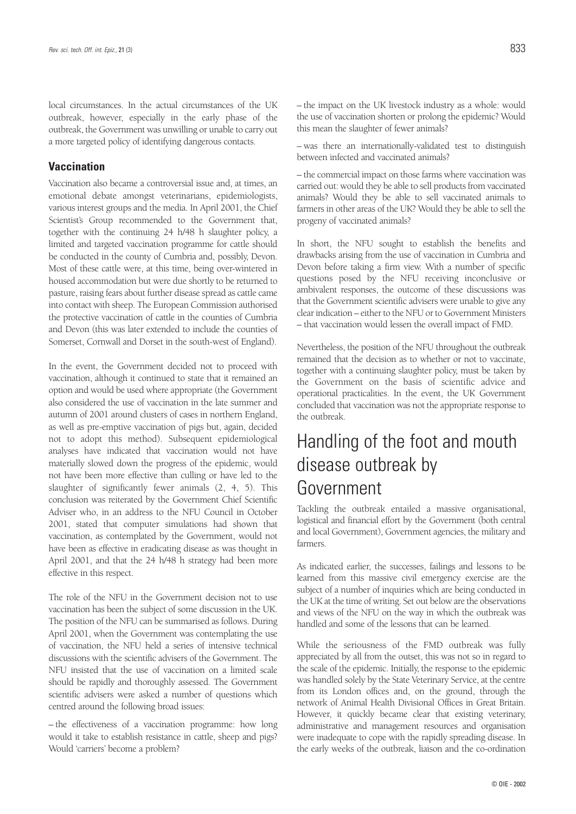local circumstances. In the actual circumstances of the UK outbreak, however, especially in the early phase of the outbreak, the Government was unwilling or unable to carry out a more targeted policy of identifying dangerous contacts.

### **Vaccination**

Vaccination also became a controversial issue and, at times, an emotional debate amongst veterinarians, epidemiologists, various interest groups and the media. In April 2001, the Chief Scientist's Group recommended to the Government that, together with the continuing 24 h/48 h slaughter policy, a limited and targeted vaccination programme for cattle should be conducted in the county of Cumbria and, possibly, Devon. Most of these cattle were, at this time, being over-wintered in housed accommodation but were due shortly to be returned to pasture, raising fears about further disease spread as cattle came into contact with sheep. The European Commission authorised the protective vaccination of cattle in the counties of Cumbria and Devon (this was later extended to include the counties of Somerset, Cornwall and Dorset in the south-west of England).

In the event, the Government decided not to proceed with vaccination, although it continued to state that it remained an option and would be used where appropriate (the Government also considered the use of vaccination in the late summer and autumn of 2001 around clusters of cases in northern England, as well as pre-emptive vaccination of pigs but, again, decided not to adopt this method). Subsequent epidemiological analyses have indicated that vaccination would not have materially slowed down the progress of the epidemic, would not have been more effective than culling or have led to the slaughter of significantly fewer animals (2, 4, 5). This conclusion was reiterated by the Government Chief Scientific Adviser who, in an address to the NFU Council in October 2001, stated that computer simulations had shown that vaccination, as contemplated by the Government, would not have been as effective in eradicating disease as was thought in April 2001, and that the 24 h/48 h strategy had been more effective in this respect.

The role of the NFU in the Government decision not to use vaccination has been the subject of some discussion in the UK. The position of the NFU can be summarised as follows. During April 2001, when the Government was contemplating the use of vaccination, the NFU held a series of intensive technical discussions with the scientific advisers of the Government. The NFU insisted that the use of vaccination on a limited scale should be rapidly and thoroughly assessed. The Government scientific advisers were asked a number of questions which centred around the following broad issues:

– the effectiveness of a vaccination programme: how long would it take to establish resistance in cattle, sheep and pigs? Would 'carriers' become a problem?

– the impact on the UK livestock industry as a whole: would the use of vaccination shorten or prolong the epidemic? Would this mean the slaughter of fewer animals?

– was there an internationally-validated test to distinguish between infected and vaccinated animals?

– the commercial impact on those farms where vaccination was carried out: would they be able to sell products from vaccinated animals? Would they be able to sell vaccinated animals to farmers in other areas of the UK? Would they be able to sell the progeny of vaccinated animals?

In short, the NFU sought to establish the benefits and drawbacks arising from the use of vaccination in Cumbria and Devon before taking a firm view. With a number of specific questions posed by the NFU receiving inconclusive or ambivalent responses, the outcome of these discussions was that the Government scientific advisers were unable to give any clear indication – either to the NFU or to Government Ministers – that vaccination would lessen the overall impact of FMD.

Nevertheless, the position of the NFU throughout the outbreak remained that the decision as to whether or not to vaccinate, together with a continuing slaughter policy, must be taken by the Government on the basis of scientific advice and operational practicalities. In the event, the UK Government concluded that vaccination was not the appropriate response to the outbreak.

# Handling of the foot and mouth disease outbreak by Government

Tackling the outbreak entailed a massive organisational, logistical and financial effort by the Government (both central and local Government), Government agencies, the military and farmers.

As indicated earlier, the successes, failings and lessons to be learned from this massive civil emergency exercise are the subject of a number of inquiries which are being conducted in the UK at the time of writing. Set out below are the observations and views of the NFU on the way in which the outbreak was handled and some of the lessons that can be learned.

While the seriousness of the FMD outbreak was fully appreciated by all from the outset, this was not so in regard to the scale of the epidemic. Initially, the response to the epidemic was handled solely by the State Veterinary Service, at the centre from its London offices and, on the ground, through the network of Animal Health Divisional Offices in Great Britain. However, it quickly became clear that existing veterinary, administrative and management resources and organisation were inadequate to cope with the rapidly spreading disease. In the early weeks of the outbreak, liaison and the co-ordination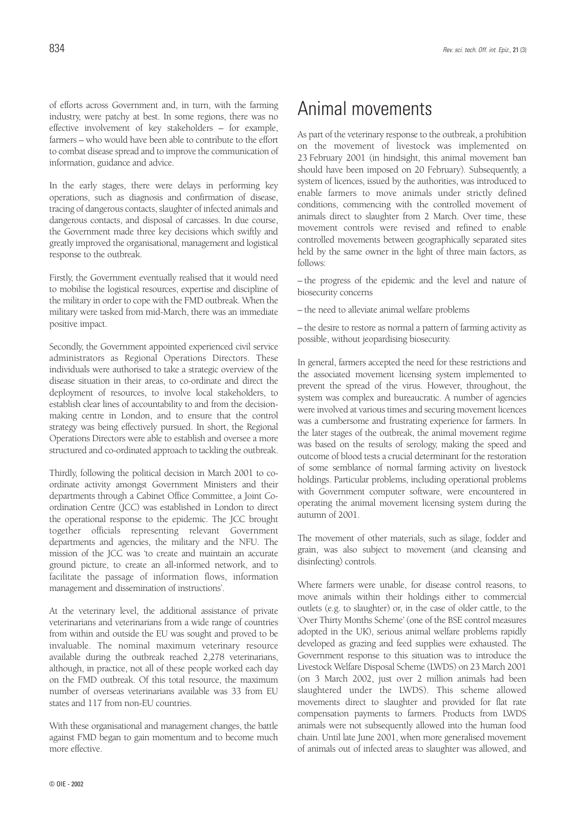of efforts across Government and, in turn, with the farming industry, were patchy at best. In some regions, there was no effective involvement of key stakeholders – for example, farmers – who would have been able to contribute to the effort to combat disease spread and to improve the communication of information, guidance and advice.

In the early stages, there were delays in performing key operations, such as diagnosis and confirmation of disease, tracing of dangerous contacts, slaughter of infected animals and dangerous contacts, and disposal of carcasses. In due course, the Government made three key decisions which swiftly and greatly improved the organisational, management and logistical response to the outbreak.

Firstly, the Government eventually realised that it would need to mobilise the logistical resources, expertise and discipline of the military in order to cope with the FMD outbreak. When the military were tasked from mid-March, there was an immediate positive impact.

Secondly, the Government appointed experienced civil service administrators as Regional Operations Directors. These individuals were authorised to take a strategic overview of the disease situation in their areas, to co-ordinate and direct the deployment of resources, to involve local stakeholders, to establish clear lines of accountability to and from the decisionmaking centre in London, and to ensure that the control strategy was being effectively pursued. In short, the Regional Operations Directors were able to establish and oversee a more structured and co-ordinated approach to tackling the outbreak.

Thirdly, following the political decision in March 2001 to coordinate activity amongst Government Ministers and their departments through a Cabinet Office Committee, a Joint Coordination Centre (JCC) was established in London to direct the operational response to the epidemic. The JCC brought together officials representing relevant Government departments and agencies, the military and the NFU. The mission of the JCC was 'to create and maintain an accurate ground picture, to create an all-informed network, and to facilitate the passage of information flows, information management and dissemination of instructions'.

At the veterinary level, the additional assistance of private veterinarians and veterinarians from a wide range of countries from within and outside the EU was sought and proved to be invaluable. The nominal maximum veterinary resource available during the outbreak reached 2,278 veterinarians, although, in practice, not all of these people worked each day on the FMD outbreak. Of this total resource, the maximum number of overseas veterinarians available was 33 from EU states and 117 from non-EU countries.

With these organisational and management changes, the battle against FMD began to gain momentum and to become much more effective.

### Animal movements

As part of the veterinary response to the outbreak, a prohibition on the movement of livestock was implemented on 23 February 2001 (in hindsight, this animal movement ban should have been imposed on 20 February). Subsequently, a system of licences, issued by the authorities, was introduced to enable farmers to move animals under strictly defined conditions, commencing with the controlled movement of animals direct to slaughter from 2 March. Over time, these movement controls were revised and refined to enable controlled movements between geographically separated sites held by the same owner in the light of three main factors, as follows:

– the progress of the epidemic and the level and nature of biosecurity concerns

– the need to alleviate animal welfare problems

– the desire to restore as normal a pattern of farming activity as possible, without jeopardising biosecurity.

In general, farmers accepted the need for these restrictions and the associated movement licensing system implemented to prevent the spread of the virus. However, throughout, the system was complex and bureaucratic. A number of agencies were involved at various times and securing movement licences was a cumbersome and frustrating experience for farmers. In the later stages of the outbreak, the animal movement regime was based on the results of serology, making the speed and outcome of blood tests a crucial determinant for the restoration of some semblance of normal farming activity on livestock holdings. Particular problems, including operational problems with Government computer software, were encountered in operating the animal movement licensing system during the autumn of 2001.

The movement of other materials, such as silage, fodder and grain, was also subject to movement (and cleansing and disinfecting) controls.

Where farmers were unable, for disease control reasons, to move animals within their holdings either to commercial outlets (e.g. to slaughter) or, in the case of older cattle, to the 'Over Thirty Months Scheme' (one of the BSE control measures adopted in the UK), serious animal welfare problems rapidly developed as grazing and feed supplies were exhausted. The Government response to this situation was to introduce the Livestock Welfare Disposal Scheme (LWDS) on 23 March 2001 (on 3 March 2002, just over 2 million animals had been slaughtered under the LWDS). This scheme allowed movements direct to slaughter and provided for flat rate compensation payments to farmers. Products from LWDS animals were not subsequently allowed into the human food chain. Until late June 2001, when more generalised movement of animals out of infected areas to slaughter was allowed, and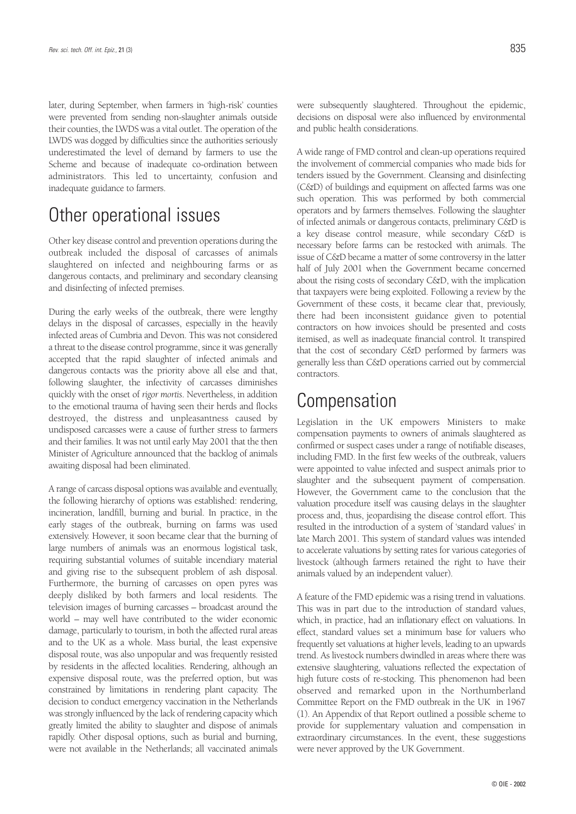later, during September, when farmers in 'high-risk' counties were prevented from sending non-slaughter animals outside their counties, the LWDS was a vital outlet. The operation of the LWDS was dogged by difficulties since the authorities seriously underestimated the level of demand by farmers to use the Scheme and because of inadequate co-ordination between administrators. This led to uncertainty, confusion and inadequate guidance to farmers.

# Other operational issues

Other key disease control and prevention operations during the outbreak included the disposal of carcasses of animals slaughtered on infected and neighbouring farms or as dangerous contacts, and preliminary and secondary cleansing and disinfecting of infected premises.

During the early weeks of the outbreak, there were lengthy delays in the disposal of carcasses, especially in the heavily infected areas of Cumbria and Devon. This was not considered a threat to the disease control programme, since it was generally accepted that the rapid slaughter of infected animals and dangerous contacts was the priority above all else and that, following slaughter, the infectivity of carcasses diminishes quickly with the onset of *rigor mortis*. Nevertheless, in addition to the emotional trauma of having seen their herds and flocks destroyed, the distress and unpleasantness caused by undisposed carcasses were a cause of further stress to farmers and their families. It was not until early May 2001 that the then Minister of Agriculture announced that the backlog of animals awaiting disposal had been eliminated.

A range of carcass disposal options was available and eventually, the following hierarchy of options was established: rendering, incineration, landfill, burning and burial. In practice, in the early stages of the outbreak, burning on farms was used extensively. However, it soon became clear that the burning of large numbers of animals was an enormous logistical task, requiring substantial volumes of suitable incendiary material and giving rise to the subsequent problem of ash disposal. Furthermore, the burning of carcasses on open pyres was deeply disliked by both farmers and local residents. The television images of burning carcasses – broadcast around the world – may well have contributed to the wider economic damage, particularly to tourism, in both the affected rural areas and to the UK as a whole. Mass burial, the least expensive disposal route, was also unpopular and was frequently resisted by residents in the affected localities. Rendering, although an expensive disposal route, was the preferred option, but was constrained by limitations in rendering plant capacity. The decision to conduct emergency vaccination in the Netherlands was strongly influenced by the lack of rendering capacity which greatly limited the ability to slaughter and dispose of animals rapidly. Other disposal options, such as burial and burning, were not available in the Netherlands; all vaccinated animals

were subsequently slaughtered. Throughout the epidemic, decisions on disposal were also influenced by environmental and public health considerations.

A wide range of FMD control and clean-up operations required the involvement of commercial companies who made bids for tenders issued by the Government. Cleansing and disinfecting (C&D) of buildings and equipment on affected farms was one such operation. This was performed by both commercial operators and by farmers themselves. Following the slaughter of infected animals or dangerous contacts, preliminary C&D is a key disease control measure, while secondary C&D is necessary before farms can be restocked with animals. The issue of C&D became a matter of some controversy in the latter half of July 2001 when the Government became concerned about the rising costs of secondary C&D, with the implication that taxpayers were being exploited. Following a review by the Government of these costs, it became clear that, previously, there had been inconsistent guidance given to potential contractors on how invoices should be presented and costs itemised, as well as inadequate financial control. It transpired that the cost of secondary C&D performed by farmers was generally less than C&D operations carried out by commercial contractors.

### Compensation

Legislation in the UK empowers Ministers to make compensation payments to owners of animals slaughtered as confirmed or suspect cases under a range of notifiable diseases, including FMD. In the first few weeks of the outbreak, valuers were appointed to value infected and suspect animals prior to slaughter and the subsequent payment of compensation. However, the Government came to the conclusion that the valuation procedure itself was causing delays in the slaughter process and, thus, jeopardising the disease control effort. This resulted in the introduction of a system of 'standard values' in late March 2001. This system of standard values was intended to accelerate valuations by setting rates for various categories of livestock (although farmers retained the right to have their animals valued by an independent valuer).

A feature of the FMD epidemic was a rising trend in valuations. This was in part due to the introduction of standard values, which, in practice, had an inflationary effect on valuations. In effect, standard values set a minimum base for valuers who frequently set valuations at higher levels, leading to an upwards trend. As livestock numbers dwindled in areas where there was extensive slaughtering, valuations reflected the expectation of high future costs of re-stocking. This phenomenon had been observed and remarked upon in the Northumberland Committee Report on the FMD outbreak in the UK in 1967 (1). An Appendix of that Report outlined a possible scheme to provide for supplementary valuation and compensation in extraordinary circumstances. In the event, these suggestions were never approved by the UK Government.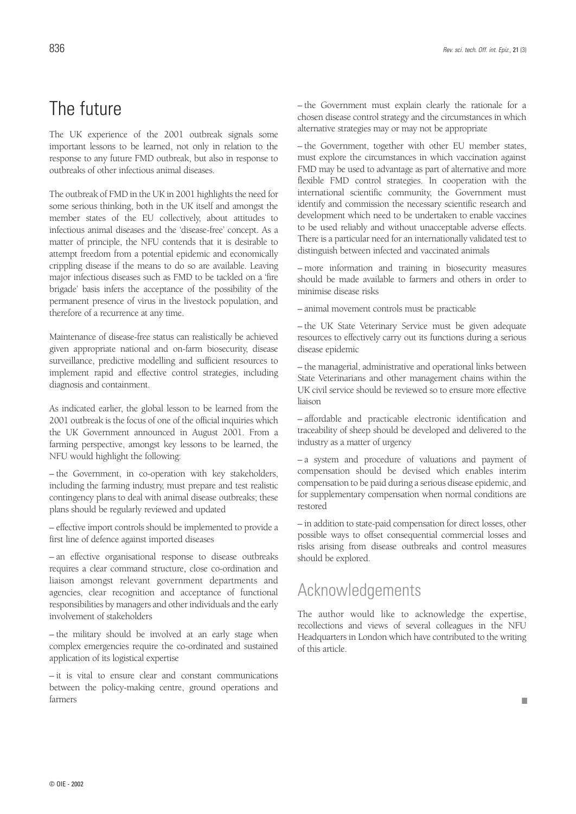### The future

The UK experience of the 2001 outbreak signals some important lessons to be learned, not only in relation to the response to any future FMD outbreak, but also in response to outbreaks of other infectious animal diseases.

The outbreak of FMD in the UK in 2001 highlights the need for some serious thinking, both in the UK itself and amongst the member states of the EU collectively, about attitudes to infectious animal diseases and the 'disease-free' concept. As a matter of principle, the NFU contends that it is desirable to attempt freedom from a potential epidemic and economically crippling disease if the means to do so are available. Leaving major infectious diseases such as FMD to be tackled on a 'fire brigade' basis infers the acceptance of the possibility of the permanent presence of virus in the livestock population, and therefore of a recurrence at any time.

Maintenance of disease-free status can realistically be achieved given appropriate national and on-farm biosecurity, disease surveillance, predictive modelling and sufficient resources to implement rapid and effective control strategies, including diagnosis and containment.

As indicated earlier, the global lesson to be learned from the 2001 outbreak is the focus of one of the official inquiries which the UK Government announced in August 2001. From a farming perspective, amongst key lessons to be learned, the NFU would highlight the following:

– the Government, in co-operation with key stakeholders, including the farming industry, must prepare and test realistic contingency plans to deal with animal disease outbreaks; these plans should be regularly reviewed and updated

– effective import controls should be implemented to provide a first line of defence against imported diseases

– an effective organisational response to disease outbreaks requires a clear command structure, close co-ordination and liaison amongst relevant government departments and agencies, clear recognition and acceptance of functional responsibilities by managers and other individuals and the early involvement of stakeholders

– the military should be involved at an early stage when complex emergencies require the co-ordinated and sustained application of its logistical expertise

– it is vital to ensure clear and constant communications between the policy-making centre, ground operations and farmers

– the Government must explain clearly the rationale for a chosen disease control strategy and the circumstances in which alternative strategies may or may not be appropriate

– the Government, together with other EU member states, must explore the circumstances in which vaccination against FMD may be used to advantage as part of alternative and more flexible FMD control strategies. In cooperation with the international scientific community, the Government must identify and commission the necessary scientific research and development which need to be undertaken to enable vaccines to be used reliably and without unacceptable adverse effects. There is a particular need for an internationally validated test to distinguish between infected and vaccinated animals

– more information and training in biosecurity measures should be made available to farmers and others in order to minimise disease risks

– animal movement controls must be practicable

– the UK State Veterinary Service must be given adequate resources to effectively carry out its functions during a serious disease epidemic

– the managerial, administrative and operational links between State Veterinarians and other management chains within the UK civil service should be reviewed so to ensure more effective liaison

– affordable and practicable electronic identification and traceability of sheep should be developed and delivered to the industry as a matter of urgency

– a system and procedure of valuations and payment of compensation should be devised which enables interim compensation to be paid during a serious disease epidemic, and for supplementary compensation when normal conditions are restored

– in addition to state-paid compensation for direct losses, other possible ways to offset consequential commercial losses and risks arising from disease outbreaks and control measures should be explored.

### Acknowledgements

The author would like to acknowledge the expertise, recollections and views of several colleagues in the NFU Headquarters in London which have contributed to the writing of this article.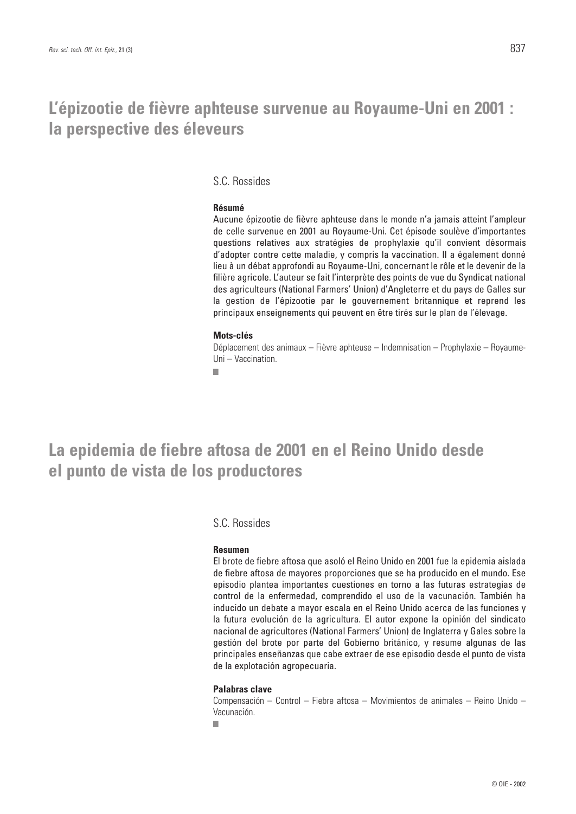### **L'épizootie de fièvre aphteuse survenue au Royaume-Uni en 2001 : la perspective des éleveurs**

### S.C. Rossides

#### **Résumé**

Aucune épizootie de fièvre aphteuse dans le monde n'a jamais atteint l'ampleur de celle survenue en 2001 au Royaume-Uni. Cet épisode soulève d'importantes questions relatives aux stratégies de prophylaxie qu'il convient désormais d'adopter contre cette maladie, y compris la vaccination. Il a également donné lieu à un débat approfondi au Royaume-Uni, concernant le rôle et le devenir de la filière agricole. L'auteur se fait l'interprète des points de vue du Syndicat national des agriculteurs (National Farmers' Union) d'Angleterre et du pays de Galles sur la gestion de l'épizootie par le gouvernement britannique et reprend les principaux enseignements qui peuvent en être tirés sur le plan de l'élevage.

#### **Mots-clés**

Déplacement des animaux – Fièvre aphteuse – Indemnisation – Prophylaxie – Royaume-Uni – Vaccination.

■

### **La epidemia de fiebre aftosa de 2001 en el Reino Unido desde el punto de vista de los productores**

### S.C. Rossides

#### **Resumen**

El brote de fiebre aftosa que asoló el Reino Unido en 2001 fue la epidemia aislada de fiebre aftosa de mayores proporciones que se ha producido en el mundo. Ese episodio plantea importantes cuestiones en torno a las futuras estrategias de control de la enfermedad, comprendido el uso de la vacunación. También ha inducido un debate a mayor escala en el Reino Unido acerca de las funciones y la futura evolución de la agricultura. El autor expone la opinión del sindicato nacional de agricultores (National Farmers' Union) de Inglaterra y Gales sobre la gestión del brote por parte del Gobierno británico, y resume algunas de las principales enseñanzas que cabe extraer de ese episodio desde el punto de vista de la explotación agropecuaria.

#### **Palabras clave**

Compensación – Control – Fiebre aftosa – Movimientos de animales – Reino Unido – Vacunación.